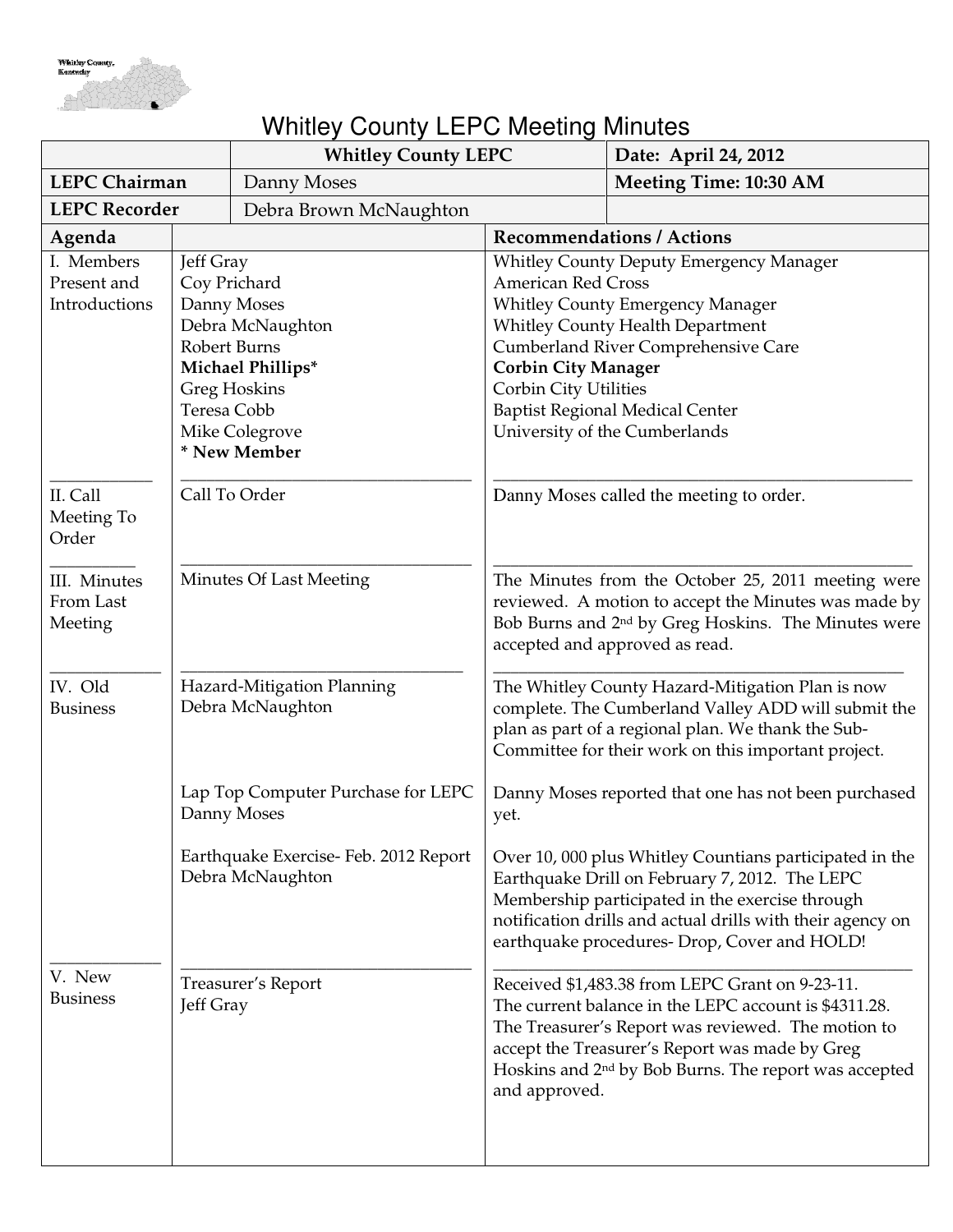

## Whitley County LEPC Meeting Minutes

|                                 |                                                | <b>Whitley County LEPC</b>               |                                                                   | Date: April 24, 2012                                                                                        |
|---------------------------------|------------------------------------------------|------------------------------------------|-------------------------------------------------------------------|-------------------------------------------------------------------------------------------------------------|
| <b>LEPC Chairman</b>            |                                                | Danny Moses                              |                                                                   | <b>Meeting Time: 10:30 AM</b>                                                                               |
| <b>LEPC Recorder</b>            |                                                | Debra Brown McNaughton                   |                                                                   |                                                                                                             |
| Agenda                          |                                                |                                          |                                                                   | <b>Recommendations / Actions</b>                                                                            |
| I. Members                      | Jeff Gray                                      |                                          |                                                                   | <b>Whitley County Deputy Emergency Manager</b>                                                              |
| Present and                     | Coy Prichard                                   |                                          | <b>American Red Cross</b>                                         |                                                                                                             |
| Introductions                   | Danny Moses                                    |                                          | <b>Whitley County Emergency Manager</b>                           |                                                                                                             |
|                                 |                                                | Debra McNaughton                         | <b>Whitley County Health Department</b>                           |                                                                                                             |
|                                 | <b>Robert Burns</b>                            |                                          | Cumberland River Comprehensive Care<br><b>Corbin City Manager</b> |                                                                                                             |
|                                 |                                                | Michael Phillips*<br><b>Greg Hoskins</b> | Corbin City Utilities                                             |                                                                                                             |
|                                 | Teresa Cobb                                    |                                          |                                                                   | <b>Baptist Regional Medical Center</b>                                                                      |
|                                 |                                                | Mike Colegrove                           |                                                                   | University of the Cumberlands                                                                               |
|                                 |                                                | * New Member                             |                                                                   |                                                                                                             |
|                                 |                                                |                                          |                                                                   |                                                                                                             |
| II. Call<br>Meeting To<br>Order | Call To Order                                  |                                          |                                                                   | Danny Moses called the meeting to order.                                                                    |
| III. Minutes                    |                                                | Minutes Of Last Meeting                  |                                                                   | The Minutes from the October 25, 2011 meeting were                                                          |
| From Last                       |                                                |                                          |                                                                   | reviewed. A motion to accept the Minutes was made by                                                        |
| Meeting                         |                                                |                                          |                                                                   | Bob Burns and 2 <sup>nd</sup> by Greg Hoskins. The Minutes were                                             |
|                                 |                                                |                                          |                                                                   | accepted and approved as read.                                                                              |
|                                 |                                                |                                          |                                                                   |                                                                                                             |
| IV. Old<br><b>Business</b>      | Hazard-Mitigation Planning<br>Debra McNaughton |                                          |                                                                   | The Whitley County Hazard-Mitigation Plan is now<br>complete. The Cumberland Valley ADD will submit the     |
|                                 |                                                |                                          |                                                                   | plan as part of a regional plan. We thank the Sub-                                                          |
|                                 |                                                |                                          |                                                                   | Committee for their work on this important project.                                                         |
|                                 |                                                |                                          |                                                                   |                                                                                                             |
|                                 |                                                | Lap Top Computer Purchase for LEPC       |                                                                   | Danny Moses reported that one has not been purchased                                                        |
|                                 |                                                | Danny Moses                              | yet.                                                              |                                                                                                             |
|                                 |                                                | Earthquake Exercise-Feb. 2012 Report     |                                                                   | Over 10,000 plus Whitley Countians participated in the                                                      |
|                                 |                                                | Debra McNaughton                         |                                                                   | Earthquake Drill on February 7, 2012. The LEPC                                                              |
|                                 |                                                |                                          |                                                                   | Membership participated in the exercise through                                                             |
|                                 |                                                |                                          |                                                                   | notification drills and actual drills with their agency on                                                  |
|                                 |                                                |                                          |                                                                   | earthquake procedures- Drop, Cover and HOLD!                                                                |
| V. New                          |                                                |                                          |                                                                   |                                                                                                             |
| <b>Business</b>                 |                                                | Treasurer's Report                       |                                                                   | Received \$1,483.38 from LEPC Grant on 9-23-11.                                                             |
|                                 | Jeff Gray                                      |                                          |                                                                   | The current balance in the LEPC account is \$4311.28.<br>The Treasurer's Report was reviewed. The motion to |
|                                 |                                                |                                          |                                                                   | accept the Treasurer's Report was made by Greg                                                              |
|                                 |                                                |                                          |                                                                   | Hoskins and 2 <sup>nd</sup> by Bob Burns. The report was accepted                                           |
|                                 |                                                |                                          | and approved.                                                     |                                                                                                             |
|                                 |                                                |                                          |                                                                   |                                                                                                             |
|                                 |                                                |                                          |                                                                   |                                                                                                             |
|                                 |                                                |                                          |                                                                   |                                                                                                             |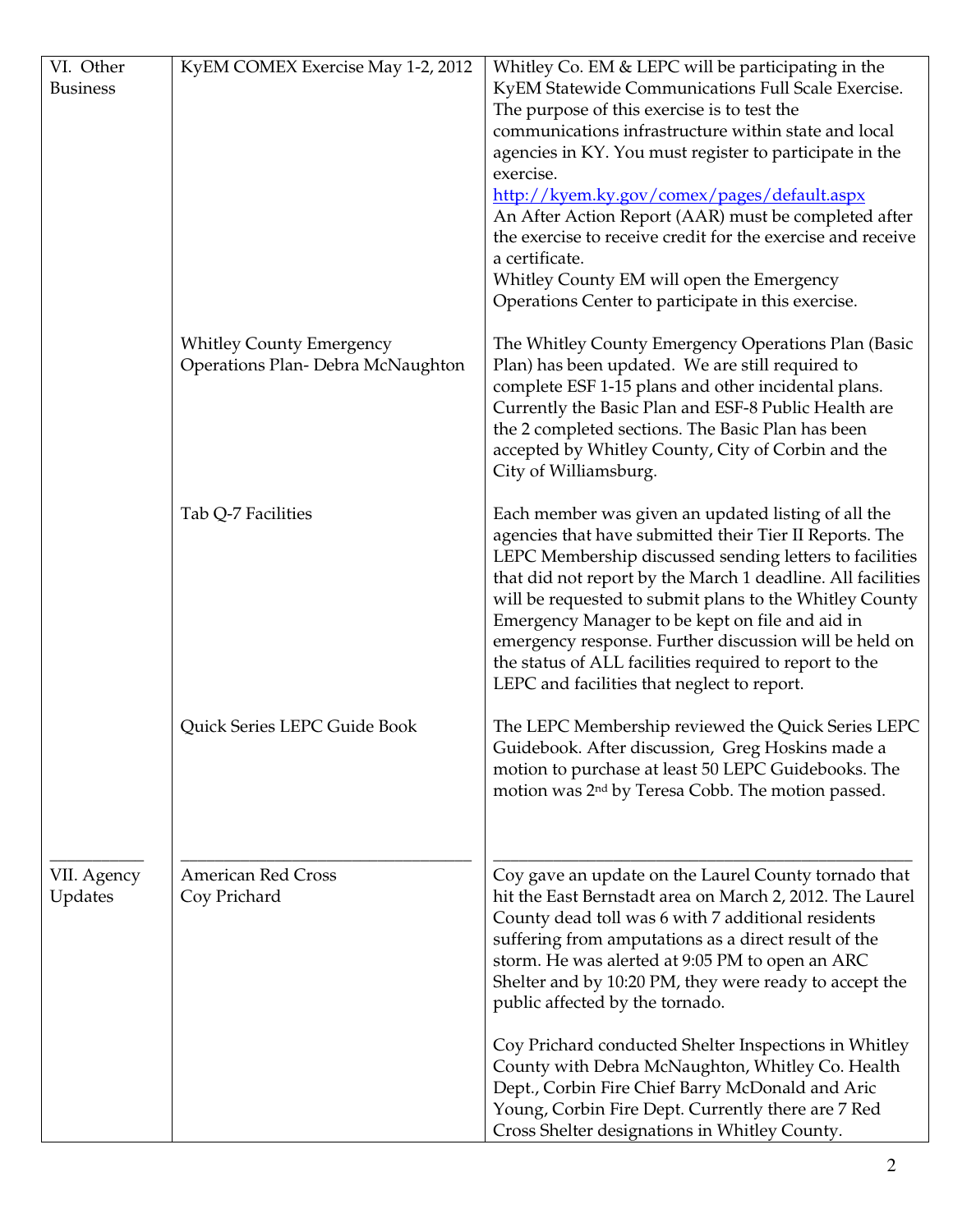| VI. Other              | KyEM COMEX Exercise May 1-2, 2012 | Whitley Co. EM & LEPC will be participating in the                                                                     |
|------------------------|-----------------------------------|------------------------------------------------------------------------------------------------------------------------|
| <b>Business</b>        |                                   | KyEM Statewide Communications Full Scale Exercise.                                                                     |
|                        |                                   | The purpose of this exercise is to test the                                                                            |
|                        |                                   | communications infrastructure within state and local                                                                   |
|                        |                                   | agencies in KY. You must register to participate in the                                                                |
|                        |                                   | exercise.                                                                                                              |
|                        |                                   | http://kyem.ky.gov/comex/pages/default.aspx                                                                            |
|                        |                                   | An After Action Report (AAR) must be completed after                                                                   |
|                        |                                   | the exercise to receive credit for the exercise and receive                                                            |
|                        |                                   | a certificate.                                                                                                         |
|                        |                                   | Whitley County EM will open the Emergency                                                                              |
|                        |                                   | Operations Center to participate in this exercise.                                                                     |
|                        |                                   |                                                                                                                        |
|                        | <b>Whitley County Emergency</b>   | The Whitley County Emergency Operations Plan (Basic                                                                    |
|                        | Operations Plan- Debra McNaughton | Plan) has been updated. We are still required to                                                                       |
|                        |                                   | complete ESF 1-15 plans and other incidental plans.                                                                    |
|                        |                                   | Currently the Basic Plan and ESF-8 Public Health are                                                                   |
|                        |                                   | the 2 completed sections. The Basic Plan has been                                                                      |
|                        |                                   | accepted by Whitley County, City of Corbin and the                                                                     |
|                        |                                   | City of Williamsburg.                                                                                                  |
|                        |                                   |                                                                                                                        |
|                        | Tab Q-7 Facilities                | Each member was given an updated listing of all the                                                                    |
|                        |                                   | agencies that have submitted their Tier II Reports. The                                                                |
|                        |                                   | LEPC Membership discussed sending letters to facilities                                                                |
|                        |                                   | that did not report by the March 1 deadline. All facilities<br>will be requested to submit plans to the Whitley County |
|                        |                                   | Emergency Manager to be kept on file and aid in                                                                        |
|                        |                                   | emergency response. Further discussion will be held on                                                                 |
|                        |                                   | the status of ALL facilities required to report to the                                                                 |
|                        |                                   | LEPC and facilities that neglect to report.                                                                            |
|                        |                                   |                                                                                                                        |
|                        | Quick Series LEPC Guide Book      | The LEPC Membership reviewed the Quick Series LEPC                                                                     |
|                        |                                   | Guidebook. After discussion, Greg Hoskins made a                                                                       |
|                        |                                   | motion to purchase at least 50 LEPC Guidebooks. The                                                                    |
|                        |                                   | motion was 2 <sup>nd</sup> by Teresa Cobb. The motion passed.                                                          |
|                        |                                   |                                                                                                                        |
|                        |                                   |                                                                                                                        |
|                        | <b>American Red Cross</b>         | Coy gave an update on the Laurel County tornado that                                                                   |
| VII. Agency<br>Updates | Coy Prichard                      | hit the East Bernstadt area on March 2, 2012. The Laurel                                                               |
|                        |                                   | County dead toll was 6 with 7 additional residents                                                                     |
|                        |                                   | suffering from amputations as a direct result of the                                                                   |
|                        |                                   | storm. He was alerted at 9:05 PM to open an ARC                                                                        |
|                        |                                   | Shelter and by 10:20 PM, they were ready to accept the                                                                 |
|                        |                                   | public affected by the tornado.                                                                                        |
|                        |                                   |                                                                                                                        |
|                        |                                   | Coy Prichard conducted Shelter Inspections in Whitley                                                                  |
|                        |                                   | County with Debra McNaughton, Whitley Co. Health                                                                       |
|                        |                                   | Dept., Corbin Fire Chief Barry McDonald and Aric                                                                       |
|                        |                                   | Young, Corbin Fire Dept. Currently there are 7 Red<br>Cross Shelter designations in Whitley County.                    |
|                        |                                   |                                                                                                                        |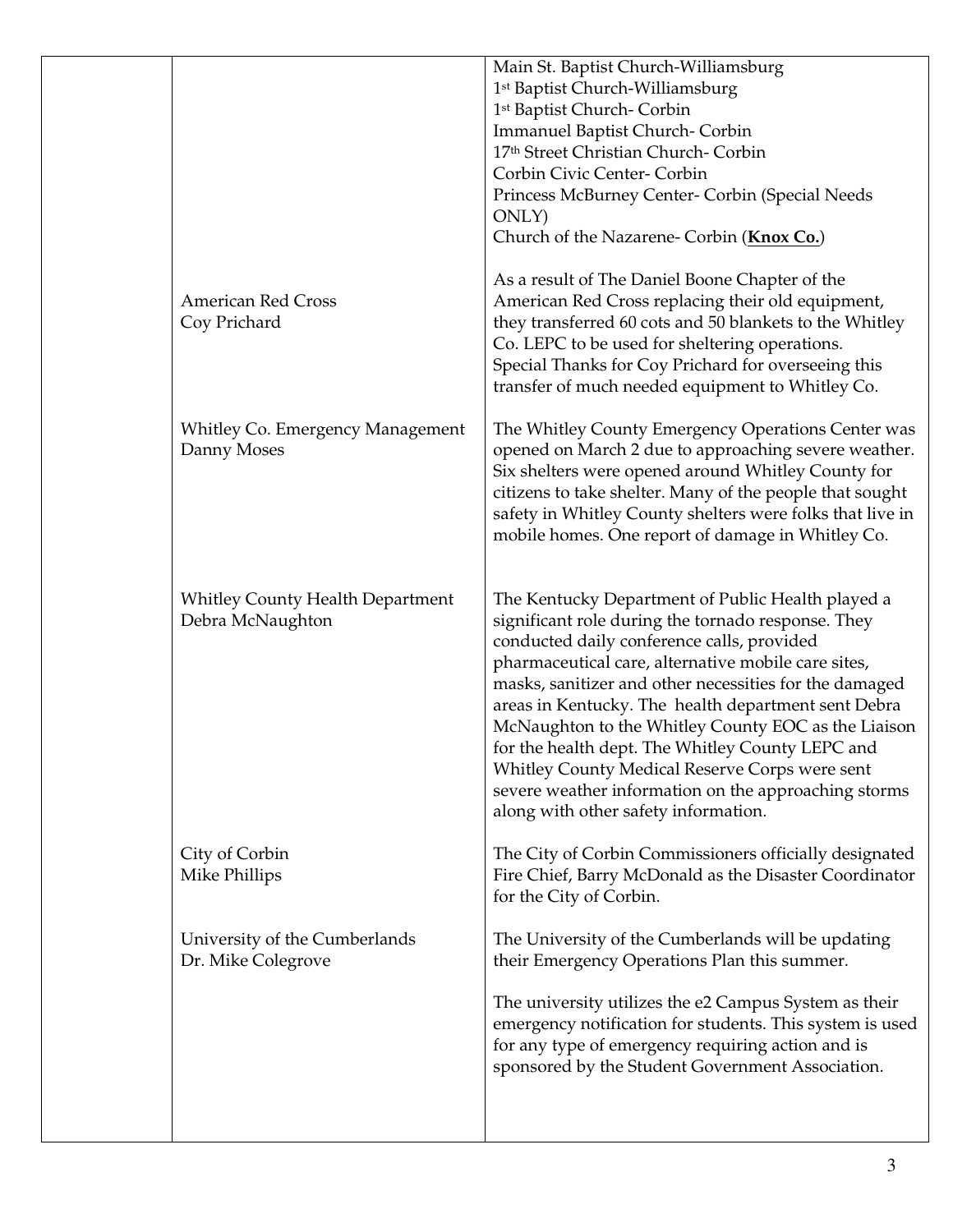|                                                             | Main St. Baptist Church-Williamsburg<br>1st Baptist Church-Williamsburg<br>1 <sup>st</sup> Baptist Church- Corbin<br><b>Immanuel Baptist Church- Corbin</b><br>17th Street Christian Church- Corbin<br>Corbin Civic Center- Corbin<br>Princess McBurney Center- Corbin (Special Needs<br>ONLY)<br>Church of the Nazarene- Corbin (Knox Co.)                                                                                                                                                                                                                                                |
|-------------------------------------------------------------|--------------------------------------------------------------------------------------------------------------------------------------------------------------------------------------------------------------------------------------------------------------------------------------------------------------------------------------------------------------------------------------------------------------------------------------------------------------------------------------------------------------------------------------------------------------------------------------------|
| <b>American Red Cross</b><br>Coy Prichard                   | As a result of The Daniel Boone Chapter of the<br>American Red Cross replacing their old equipment,<br>they transferred 60 cots and 50 blankets to the Whitley<br>Co. LEPC to be used for sheltering operations.<br>Special Thanks for Coy Prichard for overseeing this<br>transfer of much needed equipment to Whitley Co.                                                                                                                                                                                                                                                                |
| Whitley Co. Emergency Management<br>Danny Moses             | The Whitley County Emergency Operations Center was<br>opened on March 2 due to approaching severe weather.<br>Six shelters were opened around Whitley County for<br>citizens to take shelter. Many of the people that sought<br>safety in Whitley County shelters were folks that live in<br>mobile homes. One report of damage in Whitley Co.                                                                                                                                                                                                                                             |
| <b>Whitley County Health Department</b><br>Debra McNaughton | The Kentucky Department of Public Health played a<br>significant role during the tornado response. They<br>conducted daily conference calls, provided<br>pharmaceutical care, alternative mobile care sites,<br>masks, sanitizer and other necessities for the damaged<br>areas in Kentucky. The health department sent Debra<br>McNaughton to the Whitley County EOC as the Liaison<br>for the health dept. The Whitley County LEPC and<br>Whitley County Medical Reserve Corps were sent<br>severe weather information on the approaching storms<br>along with other safety information. |
| City of Corbin<br>Mike Phillips                             | The City of Corbin Commissioners officially designated<br>Fire Chief, Barry McDonald as the Disaster Coordinator<br>for the City of Corbin.                                                                                                                                                                                                                                                                                                                                                                                                                                                |
| University of the Cumberlands<br>Dr. Mike Colegrove         | The University of the Cumberlands will be updating<br>their Emergency Operations Plan this summer.<br>The university utilizes the e2 Campus System as their<br>emergency notification for students. This system is used<br>for any type of emergency requiring action and is<br>sponsored by the Student Government Association.                                                                                                                                                                                                                                                           |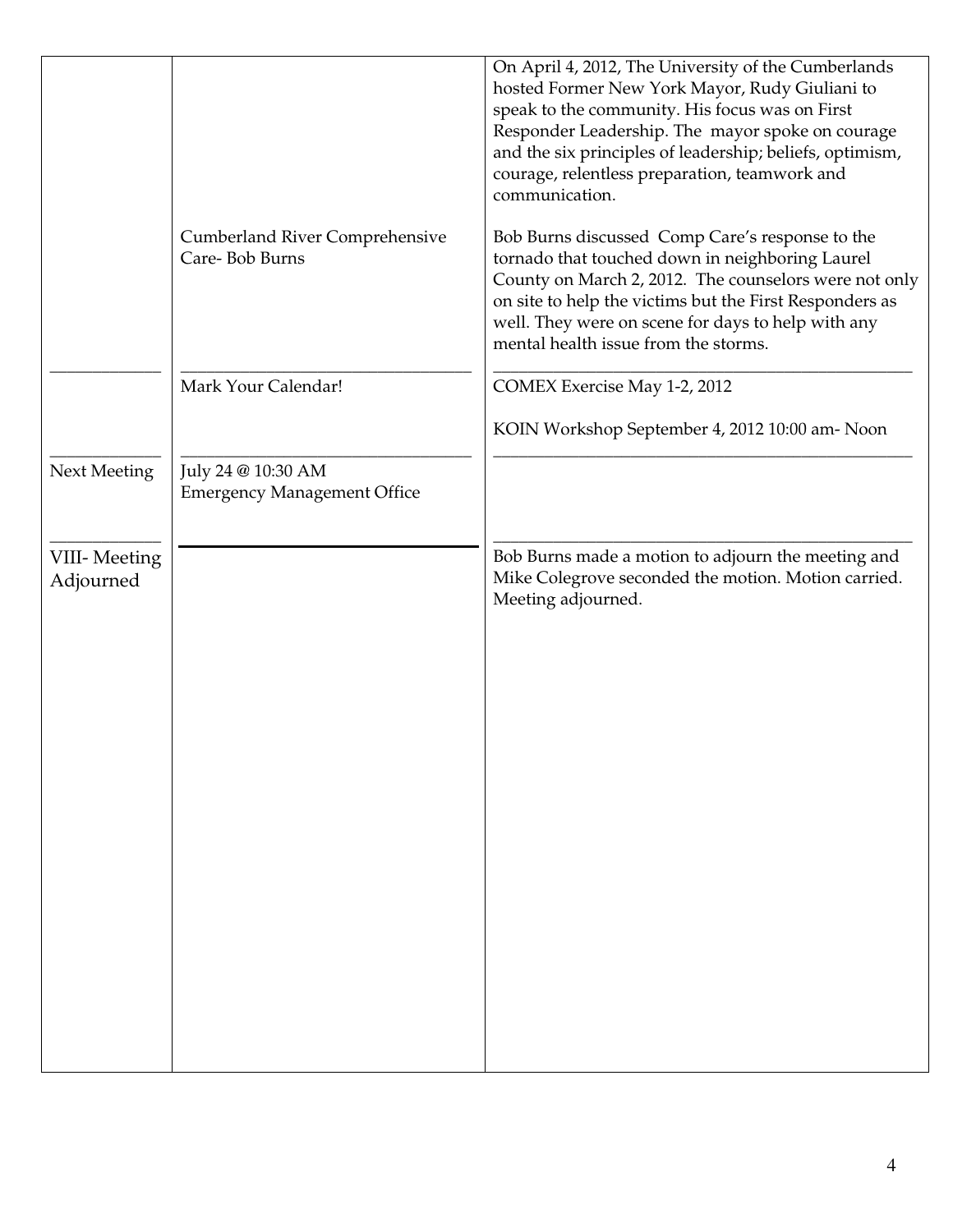|                           |                                                          | On April 4, 2012, The University of the Cumberlands<br>hosted Former New York Mayor, Rudy Giuliani to<br>speak to the community. His focus was on First<br>Responder Leadership. The mayor spoke on courage<br>and the six principles of leadership; beliefs, optimism,<br>courage, relentless preparation, teamwork and<br>communication. |
|---------------------------|----------------------------------------------------------|--------------------------------------------------------------------------------------------------------------------------------------------------------------------------------------------------------------------------------------------------------------------------------------------------------------------------------------------|
|                           | <b>Cumberland River Comprehensive</b><br>Care-Bob Burns  | Bob Burns discussed Comp Care's response to the<br>tornado that touched down in neighboring Laurel<br>County on March 2, 2012. The counselors were not only<br>on site to help the victims but the First Responders as<br>well. They were on scene for days to help with any<br>mental health issue from the storms.                       |
|                           | Mark Your Calendar!                                      | <b>COMEX Exercise May 1-2, 2012</b>                                                                                                                                                                                                                                                                                                        |
|                           |                                                          | KOIN Workshop September 4, 2012 10:00 am- Noon                                                                                                                                                                                                                                                                                             |
| Next Meeting              | July 24 @ 10:30 AM<br><b>Emergency Management Office</b> |                                                                                                                                                                                                                                                                                                                                            |
| VIII-Meeting<br>Adjourned |                                                          | Bob Burns made a motion to adjourn the meeting and<br>Mike Colegrove seconded the motion. Motion carried.<br>Meeting adjourned.                                                                                                                                                                                                            |